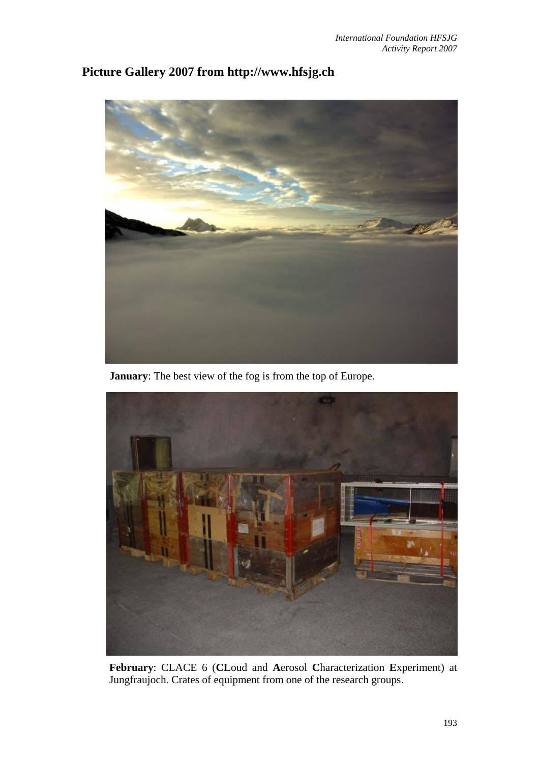

## **Picture Gallery 2007 from http://www.hfsjg.ch**

**January**: The best view of the fog is from the top of Europe.



**February**: CLACE 6 (**CL**oud and **A**erosol **C**haracterization **E**xperiment) at Jungfraujoch. Crates of equipment from one of the research groups.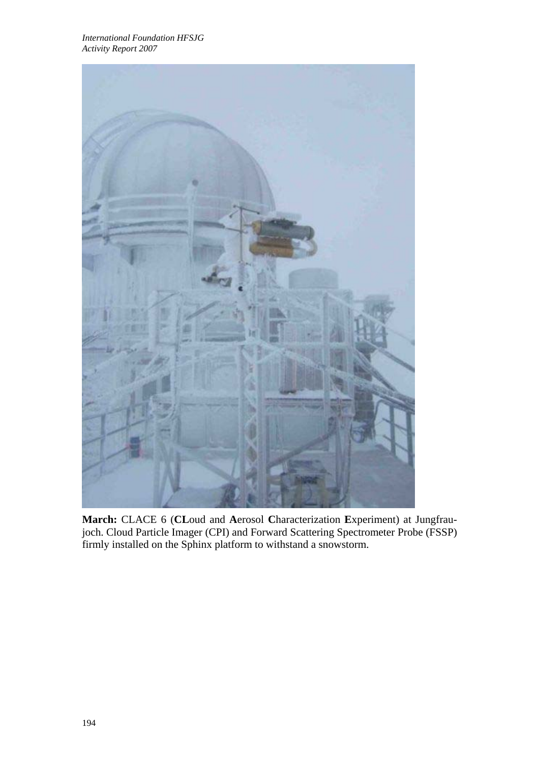

**March:** CLACE 6 (**CL**oud and **A**erosol **C**haracterization **E**xperiment) at Jungfraujoch. Cloud Particle Imager (CPI) and Forward Scattering Spectrometer Probe (FSSP) firmly installed on the Sphinx platform to withstand a snowstorm.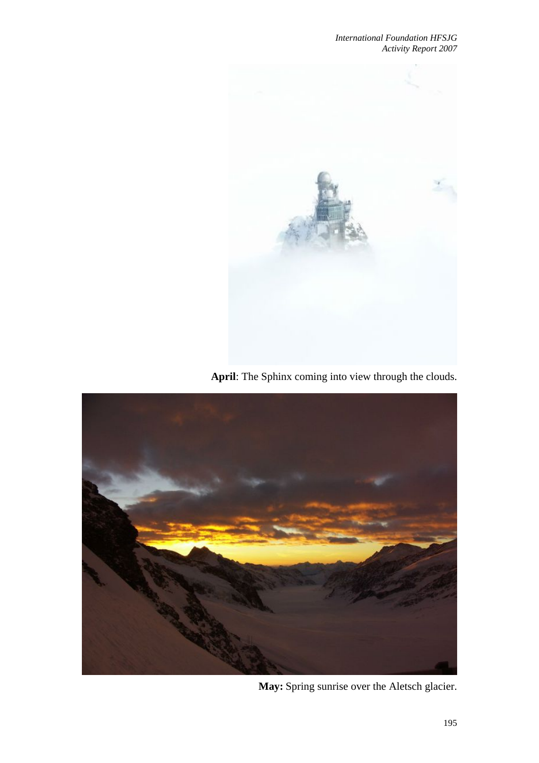

**April**: The Sphinx coming into view through the clouds.



**May:** Spring sunrise over the Aletsch glacier.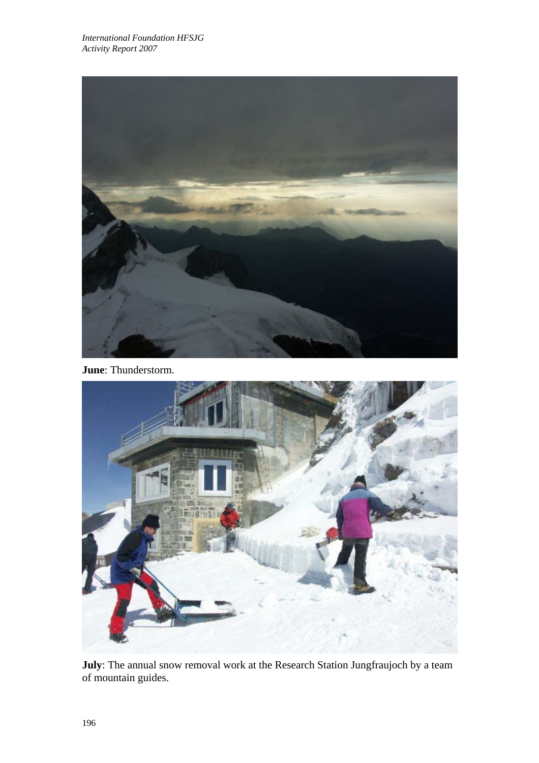

**June**: Thunderstorm.



**July**: The annual snow removal work at the Research Station Jungfraujoch by a team of mountain guides.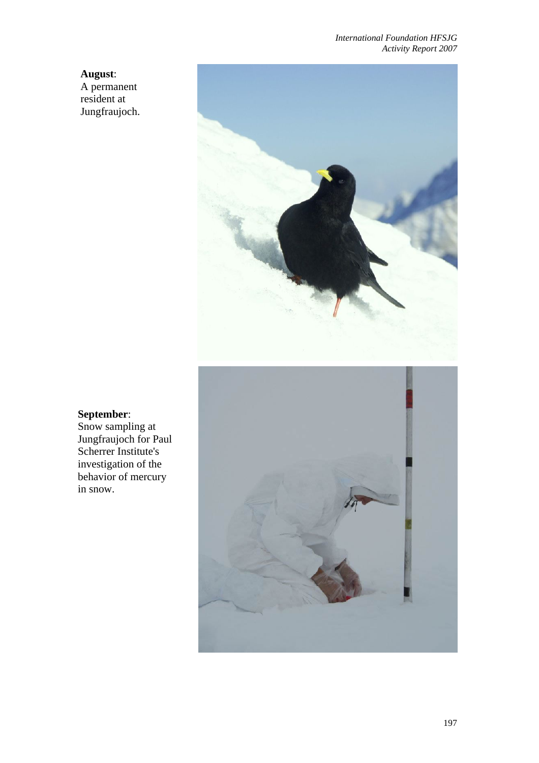**August**: A permanent resident at Jungfraujoch.



## **September**:

Snow sampling at Jungfraujoch for Paul Scherrer Institute's investigation of the behavior of mercury in snow.

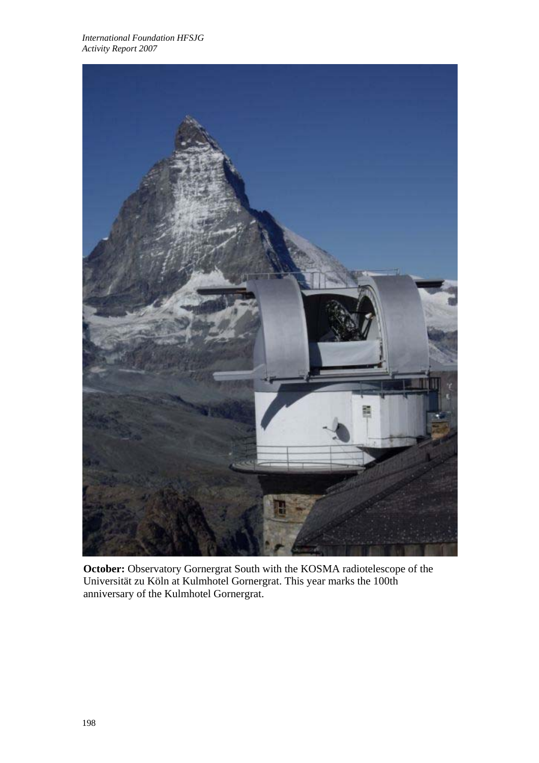

**October:** Observatory Gornergrat South with the KOSMA radiotelescope of the Universität zu Köln at Kulmhotel Gornergrat. This year marks the 100th anniversary of the Kulmhotel Gornergrat.